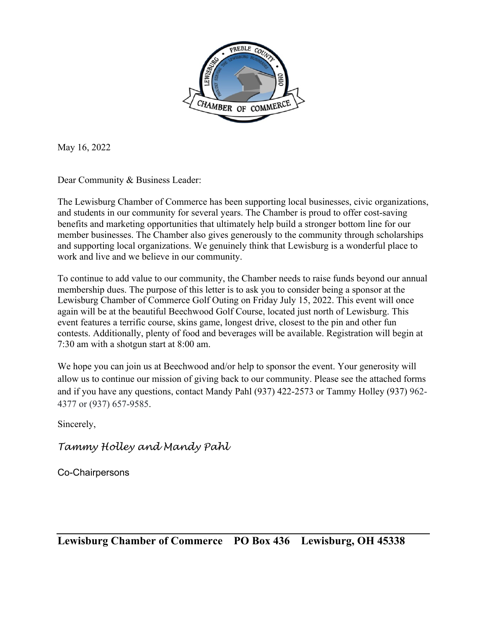

May 16, 2022

Dear Community & Business Leader:

The Lewisburg Chamber of Commerce has been supporting local businesses, civic organizations, and students in our community for several years. The Chamber is proud to offer cost-saving benefits and marketing opportunities that ultimately help build a stronger bottom line for our member businesses. The Chamber also gives generously to the community through scholarships and supporting local organizations. We genuinely think that Lewisburg is a wonderful place to work and live and we believe in our community.

To continue to add value to our community, the Chamber needs to raise funds beyond our annual membership dues. The purpose of this letter is to ask you to consider being a sponsor at the Lewisburg Chamber of Commerce Golf Outing on Friday July 15, 2022. This event will once again will be at the beautiful Beechwood Golf Course, located just north of Lewisburg. This event features a terrific course, skins game, longest drive, closest to the pin and other fun contests. Additionally, plenty of food and beverages will be available. Registration will begin at 7:30 am with a shotgun start at 8:00 am.

We hope you can join us at Beechwood and/or help to sponsor the event. Your generosity will allow us to continue our mission of giving back to our community. Please see the attached forms and if you have any questions, contact Mandy Pahl (937) 422-2573 or Tammy Holley (937) 962- 4377 or (937) 657-9585.

Sincerely,

*Tammy Holley and Mandy Pahl*

Co-Chairpersons